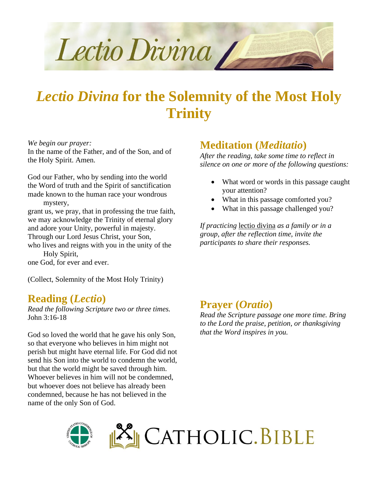

# *Lectio Divina* **for the Solemnity of the Most Holy Trinity**

*We begin our prayer:*

In the name of the Father, and of the Son, and of the Holy Spirit. Amen.

God our Father, who by sending into the world the Word of truth and the Spirit of sanctification made known to the human race your wondrous mystery,

grant us, we pray, that in professing the true faith, we may acknowledge the Trinity of eternal glory and adore your Unity, powerful in majesty.

Through our Lord Jesus Christ, your Son,

who lives and reigns with you in the unity of the Holy Spirit,

one God, for ever and ever.

(Collect, Solemnity of the Most Holy Trinity)

#### **Reading (***Lectio***)**

*Read the following Scripture two or three times.* John 3:16-18

God so loved the world that he gave his only Son, so that everyone who believes in him might not perish but might have eternal life. For God did not send his Son into the world to condemn the world, but that the world might be saved through him. Whoever believes in him will not be condemned, but whoever does not believe has already been condemned, because he has not believed in the name of the only Son of God.

#### **Meditation (***Meditatio***)**

*After the reading, take some time to reflect in silence on one or more of the following questions:*

- What word or words in this passage caught your attention?
- What in this passage comforted you?
- What in this passage challenged you?

*If practicing* lectio divina *as a family or in a group, after the reflection time, invite the participants to share their responses.*

#### **Prayer (***Oratio***)**

*Read the Scripture passage one more time. Bring to the Lord the praise, petition, or thanksgiving that the Word inspires in you.*